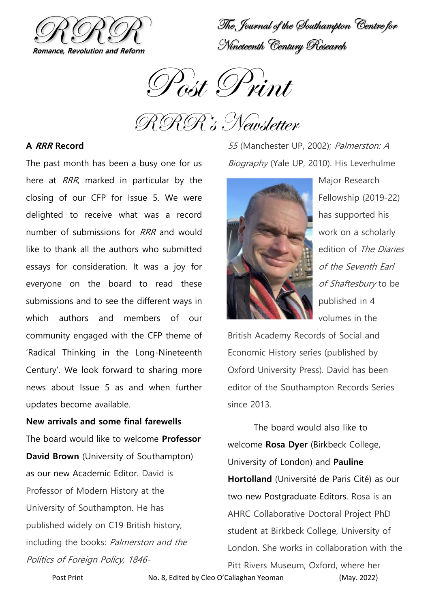

The Journal of the Southampton Centre for Nineteenth Century Research

Post Print

RRR's Newsletter

## **A RRR Record**

The past month has been a busy one for us here at *RRR*, marked in particular by the closing of our CFP for Issue 5. We were delighted to receive what was a record number of submissions for RRR and would like to thank all the authors who submitted essays for consideration. It was a joy for everyone on the board to read these submissions and to see the different ways in which authors and members of our community engaged with the CFP theme of 'Radical Thinking in the Long-Nineteenth Century'. We look forward to sharing more news about Issue 5 as and when further updates become available.

**New arrivals and some final farewells** The board would like to welcome **Professor David Brown** (University of Southampton) as our new Academic Editor. David is Professor of Modern History at the University of Southampton. He has published widely on C19 British history, including the books: Palmerston and the Politics of Foreign Policy, 184655 (Manchester UP, 2002); Palmerston: A Biography (Yale UP, 2010). His Leverhulme



Major Research Fellowship (2019-22) has supported his work on a scholarly edition of The Diaries of the Seventh Earl of Shaftesbury to be published in 4 volumes in the

British Academy Records of Social and Economic History series (published by Oxford University Press). David has been editor of the Southampton Records Series since 2013.

The board would also like to welcome **Rosa Dyer** (Birkbeck College, University of London) and **Pauline Hortolland** (Université de Paris Cité) as our two new Postgraduate Editors. Rosa is an AHRC Collaborative Doctoral Project PhD student at Birkbeck College, University of London. She works in collaboration with the

Pitt Rivers Museum, Oxford, where her

Post Print **No. 8, Edited by Cleo O'Callaghan Yeoman** (May. 2022)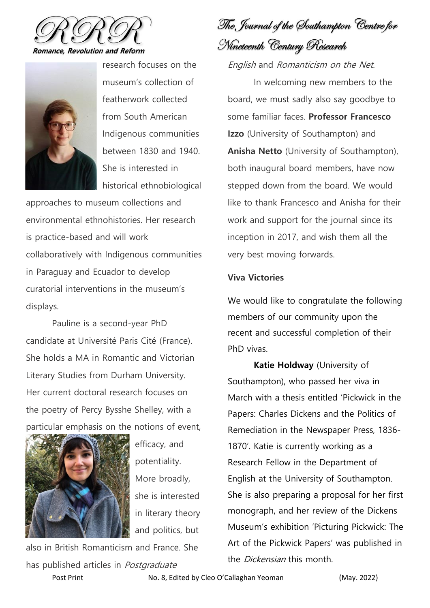



research focuses on the museum's collection of featherwork collected from South American Indigenous communities between 1830 and 1940. She is interested in historical ethnobiological

approaches to museum collections and environmental ethnohistories. Her research is practice-based and will work collaboratively with Indigenous communities in Paraguay and Ecuador to develop curatorial interventions in the museum's displays.

Pauline is a second-year PhD candidate at Université Paris Cité (France). She holds a MA in Romantic and Victorian Literary Studies from Durham University. Her current doctoral research focuses on the poetry of Percy Bysshe Shelley, with a particular emphasis on the notions of event,



efficacy, and potentiality. More broadly, she is interested in literary theory and politics, but

also in British Romanticism and France. She has published articles in Postgraduate

The Journal of the Southampton Centre for Nineteenth Century Research

English and Romanticism on the Net.

In welcoming new members to the board, we must sadly also say goodbye to some familiar faces. **Professor Francesco Izzo** (University of Southampton) and **Anisha Netto** (University of Southampton), both inaugural board members, have now stepped down from the board. We would like to thank Francesco and Anisha for their work and support for the journal since its inception in 2017, and wish them all the very best moving forwards.

## **Viva Victories**

We would like to congratulate the following members of our community upon the recent and successful completion of their PhD vivas.

**Katie Holdway** (University of Southampton), who passed her viva in March with a thesis entitled 'Pickwick in the Papers: Charles Dickens and the Politics of Remediation in the Newspaper Press, 1836- 1870'. Katie is currently working as a Research Fellow in the Department of English at the University of Southampton. She is also preparing a proposal for her first monograph, and her review of the Dickens Museum's exhibition 'Picturing Pickwick: The Art of the Pickwick Papers' was published in the *Dickensian* this month